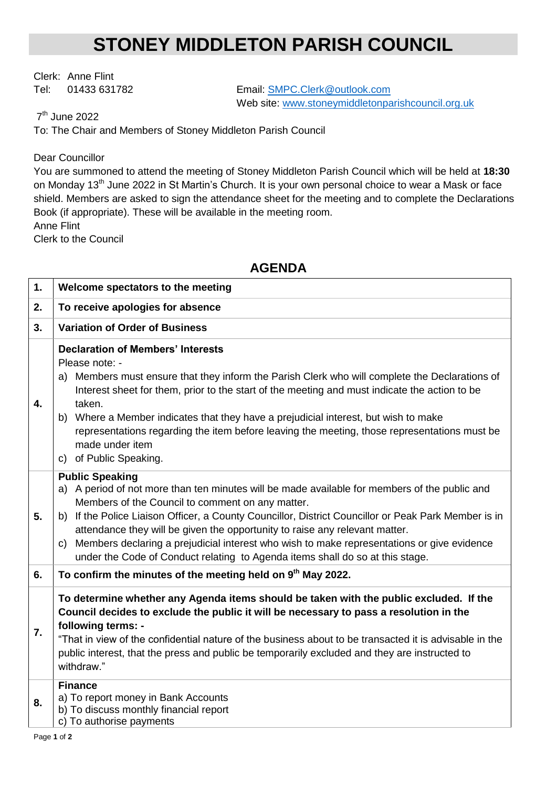## **STONEY MIDDLETON PARISH COUNCIL**

Clerk: Anne Flint

Tel: 01433 631782 Email: SMPC.Clerk@outlook.com Web site: [www.stoneymiddletonparishcouncil.org.uk](http://www.stoneymiddletonparishcouncil.org.uk/)

7<sup>th</sup> June 2022

To: The Chair and Members of Stoney Middleton Parish Council

## Dear Councillor

You are summoned to attend the meeting of Stoney Middleton Parish Council which will be held at **18:30** on Monday 13<sup>th</sup> June 2022 in St Martin's Church. It is your own personal choice to wear a Mask or face shield. Members are asked to sign the attendance sheet for the meeting and to complete the Declarations Book (if appropriate). These will be available in the meeting room. Anne Flint

Clerk to the Council

## **AGENDA**

| 1. | Welcome spectators to the meeting                                                                                                                                                                                                                                                                                                                                                                                                                                                                                                                             |
|----|---------------------------------------------------------------------------------------------------------------------------------------------------------------------------------------------------------------------------------------------------------------------------------------------------------------------------------------------------------------------------------------------------------------------------------------------------------------------------------------------------------------------------------------------------------------|
| 2. | To receive apologies for absence                                                                                                                                                                                                                                                                                                                                                                                                                                                                                                                              |
| 3. | <b>Variation of Order of Business</b>                                                                                                                                                                                                                                                                                                                                                                                                                                                                                                                         |
| 4. | <b>Declaration of Members' Interests</b><br>Please note: -<br>Members must ensure that they inform the Parish Clerk who will complete the Declarations of<br>a)<br>Interest sheet for them, prior to the start of the meeting and must indicate the action to be<br>taken.<br>Where a Member indicates that they have a prejudicial interest, but wish to make<br>b)<br>representations regarding the item before leaving the meeting, those representations must be<br>made under item<br>c) of Public Speaking.                                             |
| 5. | <b>Public Speaking</b><br>A period of not more than ten minutes will be made available for members of the public and<br>a)<br>Members of the Council to comment on any matter.<br>If the Police Liaison Officer, a County Councillor, District Councillor or Peak Park Member is in<br>b)<br>attendance they will be given the opportunity to raise any relevant matter.<br>Members declaring a prejudicial interest who wish to make representations or give evidence<br>C)<br>under the Code of Conduct relating to Agenda items shall do so at this stage. |
| 6. | To confirm the minutes of the meeting held on 9 <sup>th</sup> May 2022.                                                                                                                                                                                                                                                                                                                                                                                                                                                                                       |
| 7. | To determine whether any Agenda items should be taken with the public excluded. If the<br>Council decides to exclude the public it will be necessary to pass a resolution in the<br>following terms: -<br>"That in view of the confidential nature of the business about to be transacted it is advisable in the<br>public interest, that the press and public be temporarily excluded and they are instructed to<br>withdraw."                                                                                                                               |
| 8. | <b>Finance</b><br>a) To report money in Bank Accounts<br>b) To discuss monthly financial report<br>c) To authorise payments                                                                                                                                                                                                                                                                                                                                                                                                                                   |